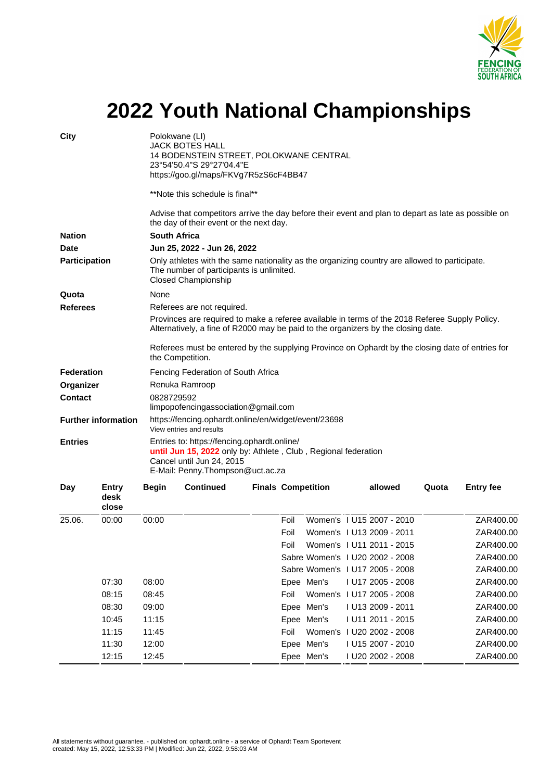

## **2022 Youth National Championships**

| <b>City</b>                |                        | Polokwane (LI)<br><b>JACK BOTES HALL</b><br>14 BODENSTEIN STREET, POLOKWANE CENTRAL<br>23°54'50.4"S 29°27'04.4"E<br>https://goo.gl/maps/FKVg7R5zS6cF4BB47<br>**Note this schedule is final**<br>Advise that competitors arrive the day before their event and plan to depart as late as possible on<br>the day of their event or the next day. |                                                                                                                                                                                     |                           |      |            |  |                                 |       |                  |  |  |
|----------------------------|------------------------|------------------------------------------------------------------------------------------------------------------------------------------------------------------------------------------------------------------------------------------------------------------------------------------------------------------------------------------------|-------------------------------------------------------------------------------------------------------------------------------------------------------------------------------------|---------------------------|------|------------|--|---------------------------------|-------|------------------|--|--|
| <b>Nation</b>              |                        | <b>South Africa</b>                                                                                                                                                                                                                                                                                                                            |                                                                                                                                                                                     |                           |      |            |  |                                 |       |                  |  |  |
| Date                       |                        |                                                                                                                                                                                                                                                                                                                                                | Jun 25, 2022 - Jun 26, 2022                                                                                                                                                         |                           |      |            |  |                                 |       |                  |  |  |
| Participation              |                        | Only athletes with the same nationality as the organizing country are allowed to participate.<br>The number of participants is unlimited.<br><b>Closed Championship</b>                                                                                                                                                                        |                                                                                                                                                                                     |                           |      |            |  |                                 |       |                  |  |  |
| Quota                      |                        | None                                                                                                                                                                                                                                                                                                                                           |                                                                                                                                                                                     |                           |      |            |  |                                 |       |                  |  |  |
| <b>Referees</b>            |                        | Referees are not required.                                                                                                                                                                                                                                                                                                                     |                                                                                                                                                                                     |                           |      |            |  |                                 |       |                  |  |  |
|                            |                        |                                                                                                                                                                                                                                                                                                                                                | Provinces are required to make a referee available in terms of the 2018 Referee Supply Policy.<br>Alternatively, a fine of R2000 may be paid to the organizers by the closing date. |                           |      |            |  |                                 |       |                  |  |  |
|                            |                        | Referees must be entered by the supplying Province on Ophardt by the closing date of entries for<br>the Competition.                                                                                                                                                                                                                           |                                                                                                                                                                                     |                           |      |            |  |                                 |       |                  |  |  |
| <b>Federation</b>          |                        | Fencing Federation of South Africa                                                                                                                                                                                                                                                                                                             |                                                                                                                                                                                     |                           |      |            |  |                                 |       |                  |  |  |
| Organizer                  |                        | Renuka Ramroop                                                                                                                                                                                                                                                                                                                                 |                                                                                                                                                                                     |                           |      |            |  |                                 |       |                  |  |  |
| <b>Contact</b>             |                        | 0828729592<br>limpopofencingassociation@gmail.com                                                                                                                                                                                                                                                                                              |                                                                                                                                                                                     |                           |      |            |  |                                 |       |                  |  |  |
| <b>Further information</b> |                        | https://fencing.ophardt.online/en/widget/event/23698<br>View entries and results                                                                                                                                                                                                                                                               |                                                                                                                                                                                     |                           |      |            |  |                                 |       |                  |  |  |
| <b>Entries</b>             |                        |                                                                                                                                                                                                                                                                                                                                                | Entries to: https://fencing.ophardt.online/<br>until Jun 15, 2022 only by: Athlete, Club, Regional federation<br>Cancel until Jun 24, 2015<br>E-Mail: Penny. Thompson@uct.ac.za     |                           |      |            |  |                                 |       |                  |  |  |
| Day                        | Entry<br>desk<br>close | <b>Begin</b>                                                                                                                                                                                                                                                                                                                                   | <b>Continued</b>                                                                                                                                                                    | <b>Finals Competition</b> |      |            |  | allowed                         | Quota | <b>Entry fee</b> |  |  |
| 25.06.                     | 00:00                  | 00:00                                                                                                                                                                                                                                                                                                                                          |                                                                                                                                                                                     |                           | Foil |            |  | Women's I U15 2007 - 2010       |       | ZAR400.00        |  |  |
|                            |                        |                                                                                                                                                                                                                                                                                                                                                |                                                                                                                                                                                     |                           | Foil |            |  | Women's 1 U13 2009 - 2011       |       | ZAR400.00        |  |  |
|                            |                        |                                                                                                                                                                                                                                                                                                                                                |                                                                                                                                                                                     |                           |      |            |  | Foil Women's I U11 2011 - 2015  |       | ZAR400.00        |  |  |
|                            |                        |                                                                                                                                                                                                                                                                                                                                                |                                                                                                                                                                                     |                           |      |            |  | Sabre Women's 1 U20 2002 - 2008 |       | ZAR400.00        |  |  |
|                            |                        |                                                                                                                                                                                                                                                                                                                                                |                                                                                                                                                                                     |                           |      |            |  | Sabre Women's 1 U17 2005 - 2008 |       | ZAR400.00        |  |  |
|                            | 07:30                  | 08:00                                                                                                                                                                                                                                                                                                                                          |                                                                                                                                                                                     |                           |      | Epee Men's |  | I U17 2005 - 2008               |       | ZAR400.00        |  |  |
|                            | 08:15                  | 08:45                                                                                                                                                                                                                                                                                                                                          |                                                                                                                                                                                     |                           | Foil |            |  | Women's I U17 2005 - 2008       |       | ZAR400.00        |  |  |
|                            | 08:30                  | 09:00                                                                                                                                                                                                                                                                                                                                          |                                                                                                                                                                                     |                           |      | Epee Men's |  | I U13 2009 - 2011               |       | ZAR400.00        |  |  |
|                            | 10:45                  | 11:15                                                                                                                                                                                                                                                                                                                                          |                                                                                                                                                                                     |                           |      | Epee Men's |  | I U11 2011 - 2015               |       | ZAR400.00        |  |  |
|                            | 11:15                  | 11:45                                                                                                                                                                                                                                                                                                                                          |                                                                                                                                                                                     |                           | Foil |            |  | Women's I U20 2002 - 2008       |       | ZAR400.00        |  |  |
|                            | 11:30                  | 12:00                                                                                                                                                                                                                                                                                                                                          |                                                                                                                                                                                     |                           |      | Epee Men's |  | I U15 2007 - 2010               |       | ZAR400.00        |  |  |
|                            | 12:15                  | 12:45                                                                                                                                                                                                                                                                                                                                          |                                                                                                                                                                                     |                           |      | Epee Men's |  | I U20 2002 - 2008               |       | ZAR400.00        |  |  |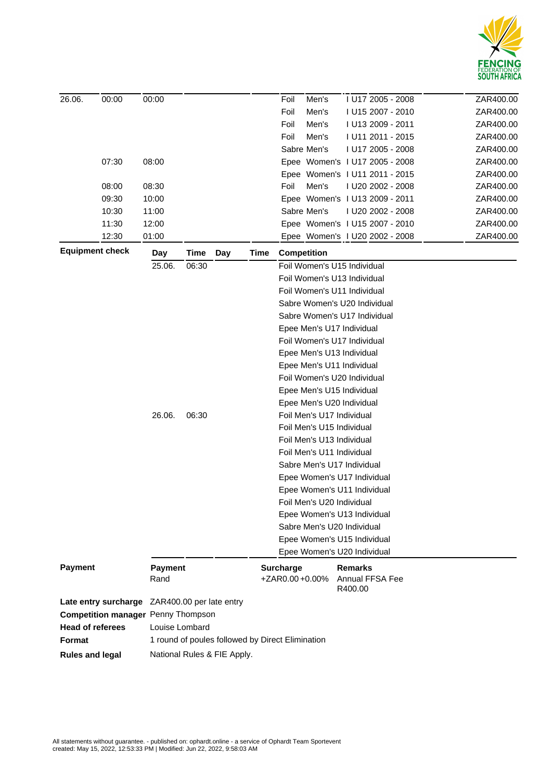

| 26.06.                  | 00:00                  | 00:00                                     |             |                          |      | Foil<br>Men's                                    |  | I U17 2005 - 2008              |  | ZAR400.00 |
|-------------------------|------------------------|-------------------------------------------|-------------|--------------------------|------|--------------------------------------------------|--|--------------------------------|--|-----------|
|                         |                        |                                           |             |                          |      | Foil<br>Men's                                    |  | I U15 2007 - 2010              |  | ZAR400.00 |
|                         |                        |                                           |             |                          |      | Foil<br>Men's                                    |  | I U13 2009 - 2011              |  | ZAR400.00 |
|                         |                        |                                           |             |                          |      | Foil<br>Men's                                    |  | I U11 2011 - 2015              |  | ZAR400.00 |
|                         |                        |                                           |             |                          |      | Sabre Men's                                      |  | I U17 2005 - 2008              |  | ZAR400.00 |
|                         | 07:30                  | 08:00                                     |             |                          |      |                                                  |  | Epee Women's I U17 2005 - 2008 |  | ZAR400.00 |
|                         |                        |                                           |             |                          |      |                                                  |  | Epee Women's I U11 2011 - 2015 |  | ZAR400.00 |
|                         | 08:00                  | 08:30                                     |             |                          |      | Foil<br>Men's                                    |  | I U20 2002 - 2008              |  | ZAR400.00 |
|                         | 09:30                  | 10:00                                     |             |                          |      |                                                  |  | Epee Women's I U13 2009 - 2011 |  | ZAR400.00 |
|                         | 10:30                  | 11:00                                     |             |                          |      | Sabre Men's                                      |  | I U20 2002 - 2008              |  | ZAR400.00 |
|                         | 11:30                  | 12:00                                     |             |                          |      |                                                  |  | Epee Women's I U15 2007 - 2010 |  | ZAR400.00 |
|                         | 12:30                  | 01:00                                     |             |                          |      |                                                  |  | Epee Women's I U20 2002 - 2008 |  | ZAR400.00 |
|                         | <b>Equipment check</b> | Day                                       | <b>Time</b> | Day                      | Time | <b>Competition</b>                               |  |                                |  |           |
|                         |                        | 25.06.                                    | 06:30       |                          |      | Foil Women's U15 Individual                      |  |                                |  |           |
|                         |                        |                                           |             |                          |      | Foil Women's U13 Individual                      |  |                                |  |           |
|                         |                        |                                           |             |                          |      | Foil Women's U11 Individual                      |  |                                |  |           |
|                         |                        |                                           |             |                          |      |                                                  |  | Sabre Women's U20 Individual   |  |           |
|                         |                        |                                           |             |                          |      |                                                  |  | Sabre Women's U17 Individual   |  |           |
|                         |                        |                                           |             |                          |      | Epee Men's U17 Individual                        |  |                                |  |           |
|                         |                        |                                           |             |                          |      | Foil Women's U17 Individual                      |  |                                |  |           |
|                         |                        |                                           |             |                          |      | Epee Men's U13 Individual                        |  |                                |  |           |
|                         |                        |                                           |             |                          |      | Epee Men's U11 Individual                        |  |                                |  |           |
|                         |                        |                                           |             |                          |      | Foil Women's U20 Individual                      |  |                                |  |           |
|                         |                        |                                           |             |                          |      | Epee Men's U15 Individual                        |  |                                |  |           |
|                         |                        |                                           |             |                          |      | Epee Men's U20 Individual                        |  |                                |  |           |
|                         |                        | 26.06.                                    | 06:30       |                          |      | Foil Men's U17 Individual                        |  |                                |  |           |
|                         |                        |                                           |             |                          |      | Foil Men's U15 Individual                        |  |                                |  |           |
|                         |                        |                                           |             |                          |      | Foil Men's U13 Individual                        |  |                                |  |           |
|                         |                        |                                           |             |                          |      | Foil Men's U11 Individual                        |  |                                |  |           |
|                         |                        |                                           |             |                          |      | Sabre Men's U17 Individual                       |  |                                |  |           |
|                         |                        |                                           |             |                          |      | Epee Women's U17 Individual                      |  |                                |  |           |
|                         |                        |                                           |             |                          |      | Epee Women's U11 Individual                      |  |                                |  |           |
|                         |                        |                                           |             |                          |      | Foil Men's U20 Individual                        |  |                                |  |           |
|                         |                        |                                           |             |                          |      | Epee Women's U13 Individual                      |  |                                |  |           |
|                         |                        |                                           |             |                          |      | Sabre Men's U20 Individual                       |  |                                |  |           |
|                         |                        |                                           |             |                          |      | Epee Women's U15 Individual                      |  |                                |  |           |
|                         |                        |                                           |             |                          |      | Epee Women's U20 Individual                      |  |                                |  |           |
| <b>Payment</b>          |                        | <b>Payment</b>                            |             |                          |      | <b>Surcharge</b>                                 |  | <b>Remarks</b>                 |  |           |
|                         |                        | Rand                                      |             |                          |      | +ZAR0.00 +0.00%                                  |  | Annual FFSA Fee<br>R400.00     |  |           |
|                         | Late entry surcharge   |                                           |             | ZAR400.00 per late entry |      |                                                  |  |                                |  |           |
|                         |                        | <b>Competition manager Penny Thompson</b> |             |                          |      |                                                  |  |                                |  |           |
| <b>Head of referees</b> |                        | Louise Lombard                            |             |                          |      |                                                  |  |                                |  |           |
| Format                  |                        |                                           |             |                          |      | 1 round of poules followed by Direct Elimination |  |                                |  |           |
| <b>Rules and legal</b>  |                        | National Rules & FIE Apply.               |             |                          |      |                                                  |  |                                |  |           |